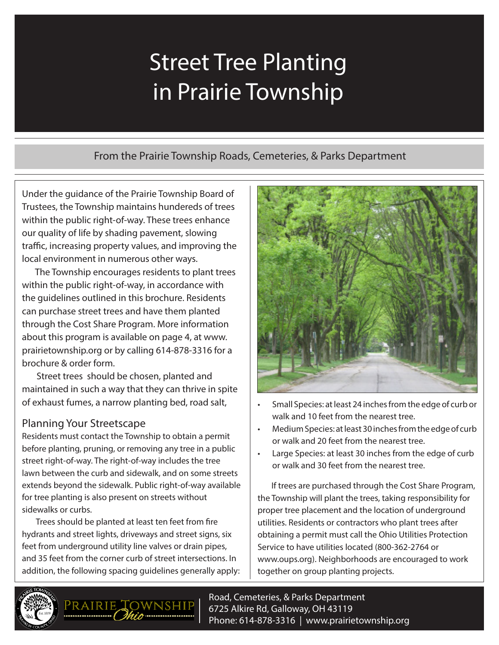# Street Tree Planting in Prairie Township

## From the Prairie Township Roads, Cemeteries, & Parks Department

Under the guidance of the Prairie Township Board of Trustees, the Township maintains hundereds of trees within the public right-of-way. These trees enhance our quality of life by shading pavement, slowing traffic, increasing property values, and improving the local environment in numerous other ways.

The Township encourages residents to plant trees within the public right-of-way, in accordance with the guidelines outlined in this brochure. Residents can purchase street trees and have them planted through the Cost Share Program. More information about this program is available on page 4, at www. prairietownship.org or by calling 614-878-3316 for a brochure & order form.

Street trees should be chosen, planted and maintained in such a way that they can thrive in spite of exhaust fumes, a narrow planting bed, road salt,

## Planning Your Streetscape

Residents must contact the Township to obtain a permit before planting, pruning, or removing any tree in a public street right-of-way. The right-of-way includes the tree lawn between the curb and sidewalk, and on some streets extends beyond the sidewalk. Public right-of-way available for tree planting is also present on streets without sidewalks or curbs.

Trees should be planted at least ten feet from fire hydrants and street lights, driveways and street signs, six feet from underground utility line valves or drain pipes, and 35 feet from the corner curb of street intersections. In addition, the following spacing guidelines generally apply:



- Small Species: at least 24 inches from the edge of curb or walk and 10 feet from the nearest tree.
- Medium Species: at least 30 inches from the edge of curb or walk and 20 feet from the nearest tree.
- Large Species: at least 30 inches from the edge of curb or walk and 30 feet from the nearest tree.

If trees are purchased through the Cost Share Program, the Township will plant the trees, taking responsibility for proper tree placement and the location of underground utilities. Residents or contractors who plant trees after obtaining a permit must call the Ohio Utilities Protection Service to have utilities located (800-362-2764 or www.oups.org). Neighborhoods are encouraged to work together on group planting projects.





Road, Cemeteries, & Parks Department 6725 Alkire Rd, Galloway, OH 43119 Phone: 614-878-3316 | www.prairietownship.org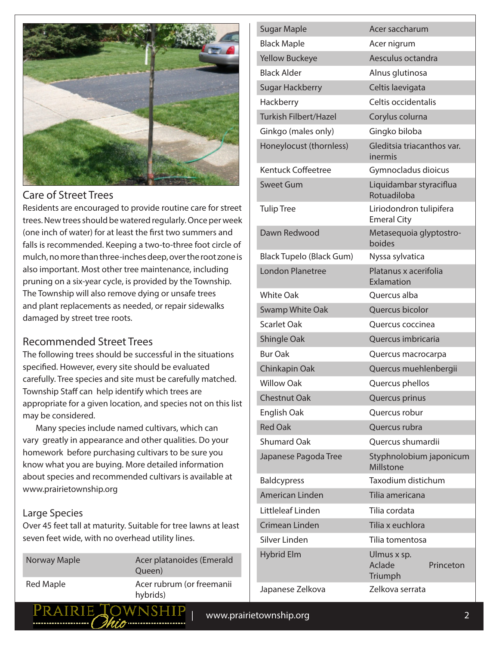

#### Care of Street Trees

Residents are encouraged to provide routine care for street trees. New trees should be watered regularly. Once per week (one inch of water) for at least the first two summers and falls is recommended. Keeping a two-to-three foot circle of mulch, no more than three-inches deep, over the root zone is also important. Most other tree maintenance, including pruning on a six-year cycle, is provided by the Township. The Township will also remove dying or unsafe trees and plant replacements as needed, or repair sidewalks damaged by street tree roots.

#### Recommended Street Trees

The following trees should be successful in the situations specified. However, every site should be evaluated carefully. Tree species and site must be carefully matched. Township Staff can help identify which trees are appropriate for a given location, and species not on this list may be considered.

Many species include named cultivars, which can vary greatly in appearance and other qualities. Do your homework before purchasing cultivars to be sure you know what you are buying. More detailed information about species and recommended cultivars is available at www.prairietownship.org

#### Large Species

Over 45 feet tall at maturity. Suitable for tree lawns at least seven feet wide, with no overhead utility lines.

| Norway Maple | Acer platanoides (Emerald<br>Queen)   |
|--------------|---------------------------------------|
| Red Maple    | Acer rubrum (or freemanii<br>hybrids) |
|              |                                       |

| Sugar Maple                     | Acer saccharum                                |
|---------------------------------|-----------------------------------------------|
| <b>Black Maple</b>              | Acer nigrum                                   |
| <b>Yellow Buckeye</b>           | Aesculus octandra                             |
| <b>Black Alder</b>              | Alnus glutinosa                               |
| <b>Sugar Hackberry</b>          | Celtis laevigata                              |
| Hackberry                       | Celtis occidentalis                           |
| <b>Turkish Filbert/Hazel</b>    | Corylus colurna                               |
| Ginkgo (males only)             | Gingko biloba                                 |
| Honeylocust (thornless)         | Gleditsia triacanthos var.<br>inermis         |
| <b>Kentuck Coffeetree</b>       | Gymnocladus dioicus                           |
| <b>Sweet Gum</b>                | Liquidambar styraciflua<br>Rotuadiloba        |
| <b>Tulip Tree</b>               | Liriodondron tulipifera<br><b>Emeral City</b> |
| Dawn Redwood                    | Metasequoia glyptostro-<br>boides             |
| <b>Black Tupelo (Black Gum)</b> | Nyssa sylvatica                               |
| <b>London Planetree</b>         | Platanus x acerifolia<br>Exlamation           |
| <b>White Oak</b>                | Quercus alba                                  |
| <b>Swamp White Oak</b>          | Quercus bicolor                               |
| <b>Scarlet Oak</b>              | Quercus coccinea                              |
| Shingle Oak                     | Quercus imbricaria                            |
| <b>Bur Oak</b>                  | Quercus macrocarpa                            |
| Chinkapin Oak                   | Quercus muehlenbergii                         |
| <b>Willow Oak</b>               | Quercus phellos                               |
| <b>Chestnut Oak</b>             | Quercus prinus                                |
| English Oak                     | Quercus robur                                 |
| <b>Red Oak</b>                  | Quercus rubra                                 |
| <b>Shumard Oak</b>              | <b>Ouercus shumardii</b>                      |
| Japanese Pagoda Tree            | Styphnolobium japonicum<br>Millstone          |
| <b>Baldcypress</b>              | Taxodium distichum                            |
| <b>American Linden</b>          | Tilia americana                               |
| Littleleaf Linden               | Tilia cordata                                 |
| Crimean Linden                  | Tilia x euchlora                              |
| Silver Linden                   | Tilia tomentosa                               |
| <b>Hybrid Elm</b>               | Ulmus x sp.<br>Aclade<br>Princeton<br>Triumph |
| Japanese Zelkova                | Zelkova serrata                               |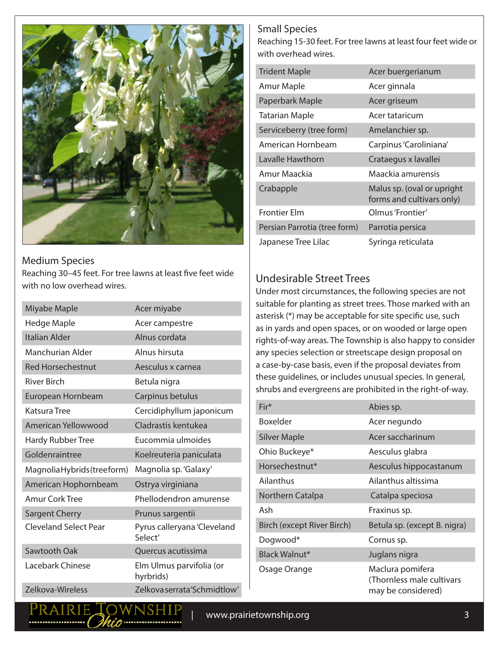

Medium Species Reaching 30–45 feet. For tree lawns at least five feet wide with no low overhead wires.

| Miyabe Maple                 | Acer miyabe                            |
|------------------------------|----------------------------------------|
| Hedge Maple                  | Acer campestre                         |
| <b>Italian Alder</b>         | Alnus cordata                          |
| Manchurian Alder             | Alnus hirsuta                          |
| <b>Red Horsechestnut</b>     | Aesculus x carnea                      |
| <b>River Birch</b>           | Betula nigra                           |
| European Hornbeam            | Carpinus betulus                       |
| Katsura Tree                 | Cercidiphyllum japonicum               |
| American Yellowwood          | Cladrastis kentukea                    |
| Hardy Rubber Tree            | Eucommia ulmoides                      |
| Goldenraintree               | Koelreuteria paniculata                |
| Magnolia Hybrids (treeform)  | Magnolia sp. 'Galaxy'                  |
| American Hophornbeam         | Ostrya virginiana                      |
| <b>Amur Cork Tree</b>        | Phellodendron amurense                 |
| <b>Sargent Cherry</b>        | Prunus sargentii                       |
| <b>Cleveland Select Pear</b> | Pyrus calleryana 'Cleveland<br>Select' |
| Sawtooth Oak                 | Quercus acutissima                     |
| Lacebark Chinese             | Elm Ulmus parvifolia (or<br>hyrbrids)  |
| Zelkova-Wireless             | Zelkova serrata'Schmidtlow'            |

PRAIRIE TOWNSHIF

#### Small Species

Reaching 15-30 feet. For tree lawns at least four feet wide or with overhead wires.

| <b>Trident Maple</b>         | Acer buergerianum                                       |
|------------------------------|---------------------------------------------------------|
| Amur Maple                   | Acer ginnala                                            |
| Paperbark Maple              | Acer griseum                                            |
| <b>Tatarian Maple</b>        | Acer tataricum                                          |
| Serviceberry (tree form)     | Amelanchier sp.                                         |
| American Hornbeam            | Carpinus 'Caroliniana'                                  |
| Lavalle Hawthorn             | Crataegus x lavallei                                    |
| Amur Maackia                 | Maackia amurensis                                       |
| Crabapple                    | Malus sp. (oval or upright<br>forms and cultivars only) |
| <b>Frontier Elm</b>          | Olmus 'Frontier'                                        |
| Persian Parrotia (tree form) | Parrotia persica                                        |
| Japanese Tree Lilac          | Syringa reticulata                                      |

#### Undesirable Street Trees

Under most circumstances, the following species are not suitable for planting as street trees. Those marked with an asterisk (\*) may be acceptable for site specific use, such as in yards and open spaces, or on wooded or large open rights-of-way areas. The Township is also happy to consider any species selection or streetscape design proposal on a case-by-case basis, even if the proposal deviates from these guidelines, or includes unusual species. In general, shrubs and evergreens are prohibited in the right-of-way.

| $Fir*$                     | Abies sp.                                                           |
|----------------------------|---------------------------------------------------------------------|
| <b>Boxelder</b>            | Acer negundo                                                        |
| <b>Silver Maple</b>        | Acer saccharinum                                                    |
| Ohio Buckeye*              | Aesculus glabra                                                     |
| Horsechestnut*             | Aesculus hippocastanum                                              |
| Ailanthus                  | Ailanthus altissima                                                 |
| Northern Catalpa           | Catalpa speciosa                                                    |
| Ash                        | Fraxinus sp.                                                        |
| Birch (except River Birch) | Betula sp. (except B. nigra)                                        |
| Dogwood*                   | Cornus sp.                                                          |
| Black Walnut*              | Juglans nigra                                                       |
| Osage Orange               | Maclura pomifera<br>(Thornless male cultivars<br>may be considered) |